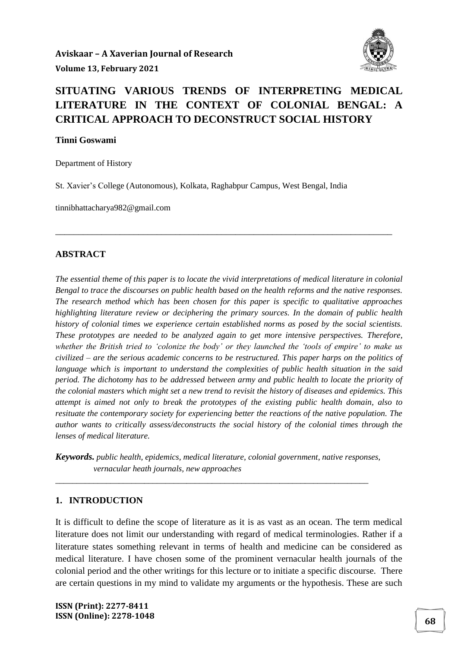

# **SITUATING VARIOUS TRENDS OF INTERPRETING MEDICAL LITERATURE IN THE CONTEXT OF COLONIAL BENGAL: A CRITICAL APPROACH TO DECONSTRUCT SOCIAL HISTORY**

#### **Tinni Goswami**

Department of History

St. Xavier's College (Autonomous), Kolkata, Raghabpur Campus, West Bengal, India

\_\_\_\_\_\_\_\_\_\_\_\_\_\_\_\_\_\_\_\_\_\_\_\_\_\_\_\_\_\_\_\_\_\_\_\_\_\_\_\_\_\_\_\_\_\_\_\_\_\_\_\_\_\_\_\_\_\_\_\_\_\_\_\_\_\_\_\_\_\_\_\_\_

tinnibhattacharya982@gmail.com

#### **ABSTRACT**

*The essential theme of this paper is to locate the vivid interpretations of medical literature in colonial Bengal to trace the discourses on public health based on the health reforms and the native responses. The research method which has been chosen for this paper is specific to qualitative approaches highlighting literature review or deciphering the primary sources. In the domain of public health history of colonial times we experience certain established norms as posed by the social scientists. These prototypes are needed to be analyzed again to get more intensive perspectives. Therefore, whether the British tried to 'colonize the body' or they launched the 'tools of empire' to make us civilized – are the serious academic concerns to be restructured. This paper harps on the politics of language which is important to understand the complexities of public health situation in the said period. The dichotomy has to be addressed between army and public health to locate the priority of the colonial masters which might set a new trend to revisit the history of diseases and epidemics. This attempt is aimed not only to break the prototypes of the existing public health domain, also to resituate the contemporary society for experiencing better the reactions of the native population. The author wants to critically assess/deconstructs the social history of the colonial times through the lenses of medical literature.*

*Keywords. public health, epidemics, medical literature, colonial government, native responses, vernacular heath journals, new approaches*

*\_\_\_\_\_\_\_\_\_\_\_\_\_\_\_\_\_\_\_\_\_\_\_\_\_\_\_\_\_\_\_\_\_\_\_\_\_\_\_\_\_\_\_\_\_\_\_\_\_\_\_\_\_\_\_\_\_\_\_\_\_\_\_\_\_\_\_\_\_\_\_\_\_\_*

#### **1. INTRODUCTION**

It is difficult to define the scope of literature as it is as vast as an ocean. The term medical literature does not limit our understanding with regard of medical terminologies. Rather if a literature states something relevant in terms of health and medicine can be considered as medical literature. I have chosen some of the prominent vernacular health journals of the colonial period and the other writings for this lecture or to initiate a specific discourse. There are certain questions in my mind to validate my arguments or the hypothesis. These are such

**ISSN (Print): 2277-8411 ISSN (Online): 2278-1048 <sup>68</sup>**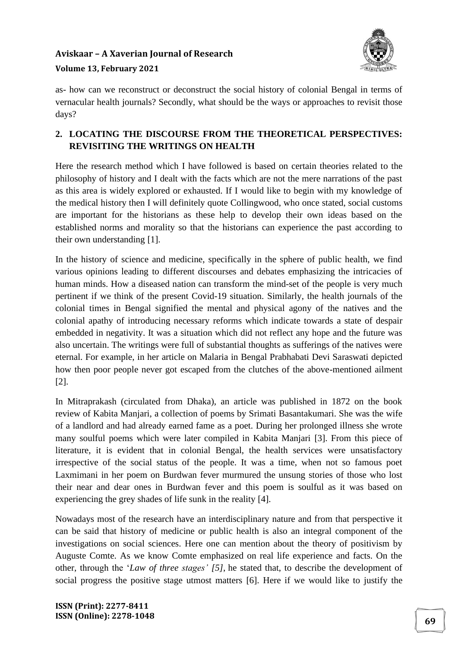# **Aviskaar – A Xaverian Journal of Research**



### **Volume 13, February 2021**

as- how can we reconstruct or deconstruct the social history of colonial Bengal in terms of vernacular health journals? Secondly, what should be the ways or approaches to revisit those days?

### **2. LOCATING THE DISCOURSE FROM THE THEORETICAL PERSPECTIVES: REVISITING THE WRITINGS ON HEALTH**

Here the research method which I have followed is based on certain theories related to the philosophy of history and I dealt with the facts which are not the mere narrations of the past as this area is widely explored or exhausted. If I would like to begin with my knowledge of the medical history then I will definitely quote Collingwood, who once stated, social customs are important for the historians as these help to develop their own ideas based on the established norms and morality so that the historians can experience the past according to their own understanding [1].

In the history of science and medicine, specifically in the sphere of public health, we find various opinions leading to different discourses and debates emphasizing the intricacies of human minds. How a diseased nation can transform the mind-set of the people is very much pertinent if we think of the present Covid-19 situation. Similarly, the health journals of the colonial times in Bengal signified the mental and physical agony of the natives and the colonial apathy of introducing necessary reforms which indicate towards a state of despair embedded in negativity. It was a situation which did not reflect any hope and the future was also uncertain. The writings were full of substantial thoughts as sufferings of the natives were eternal. For example, in her article on Malaria in Bengal Prabhabati Devi Saraswati depicted how then poor people never got escaped from the clutches of the above-mentioned ailment [2].

In Mitraprakash (circulated from Dhaka), an article was published in 1872 on the book review of Kabita Manjari, a collection of poems by Srimati Basantakumari. She was the wife of a landlord and had already earned fame as a poet. During her prolonged illness she wrote many soulful poems which were later compiled in Kabita Manjari [3]. From this piece of literature, it is evident that in colonial Bengal, the health services were unsatisfactory irrespective of the social status of the people. It was a time, when not so famous poet Laxmimani in her poem on Burdwan fever murmured the unsung stories of those who lost their near and dear ones in Burdwan fever and this poem is soulful as it was based on experiencing the grey shades of life sunk in the reality [4].

Nowadays most of the research have an interdisciplinary nature and from that perspective it can be said that history of medicine or public health is also an integral component of the investigations on social sciences. Here one can mention about the theory of positivism by Auguste Comte. As we know Comte emphasized on real life experience and facts. On the other, through the '*Law of three stages' [5]*, he stated that, to describe the development of social progress the positive stage utmost matters [6]. Here if we would like to justify the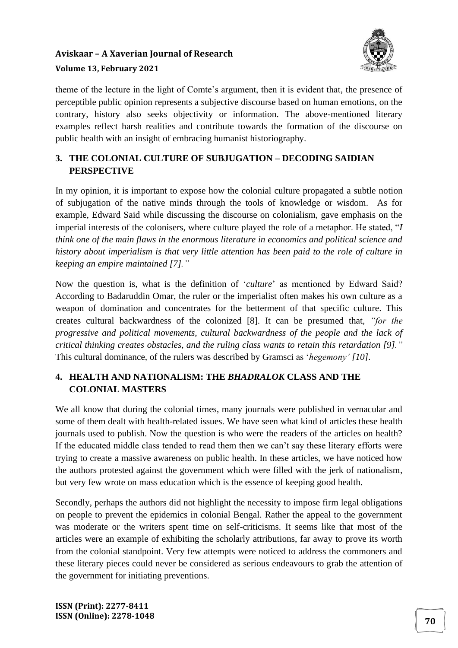

theme of the lecture in the light of Comte's argument, then it is evident that, the presence of perceptible public opinion represents a subjective discourse based on human emotions, on the contrary, history also seeks objectivity or information. The above-mentioned literary examples reflect harsh realities and contribute towards the formation of the discourse on public health with an insight of embracing humanist historiography.

### **3. THE COLONIAL CULTURE OF SUBJUGATION – DECODING SAIDIAN PERSPECTIVE**

In my opinion, it is important to expose how the colonial culture propagated a subtle notion of subjugation of the native minds through the tools of knowledge or wisdom. As for example, Edward Said while discussing the discourse on colonialism, gave emphasis on the imperial interests of the colonisers, where culture played the role of a metaphor. He stated, "*I think one of the main flaws in the enormous literature in economics and political science and history about imperialism is that very little attention has been paid to the role of culture in keeping an empire maintained [7]."*

Now the question is, what is the definition of '*culture*' as mentioned by Edward Said? According to Badaruddin Omar, the ruler or the imperialist often makes his own culture as a weapon of domination and concentrates for the betterment of that specific culture. This creates cultural backwardness of the colonized [8]. It can be presumed that, *"for the progressive and political movements, cultural backwardness of the people and the lack of critical thinking creates obstacles, and the ruling class wants to retain this retardation [9]."* This cultural dominance, of the rulers was described by Gramsci as '*hegemony' [10]*.

### **4. HEALTH AND NATIONALISM: THE** *BHADRALOK* **CLASS AND THE COLONIAL MASTERS**

We all know that during the colonial times, many journals were published in vernacular and some of them dealt with health-related issues. We have seen what kind of articles these health journals used to publish. Now the question is who were the readers of the articles on health? If the educated middle class tended to read them then we can't say these literary efforts were trying to create a massive awareness on public health. In these articles, we have noticed how the authors protested against the government which were filled with the jerk of nationalism, but very few wrote on mass education which is the essence of keeping good health.

Secondly, perhaps the authors did not highlight the necessity to impose firm legal obligations on people to prevent the epidemics in colonial Bengal. Rather the appeal to the government was moderate or the writers spent time on self-criticisms. It seems like that most of the articles were an example of exhibiting the scholarly attributions, far away to prove its worth from the colonial standpoint. Very few attempts were noticed to address the commoners and these literary pieces could never be considered as serious endeavours to grab the attention of the government for initiating preventions.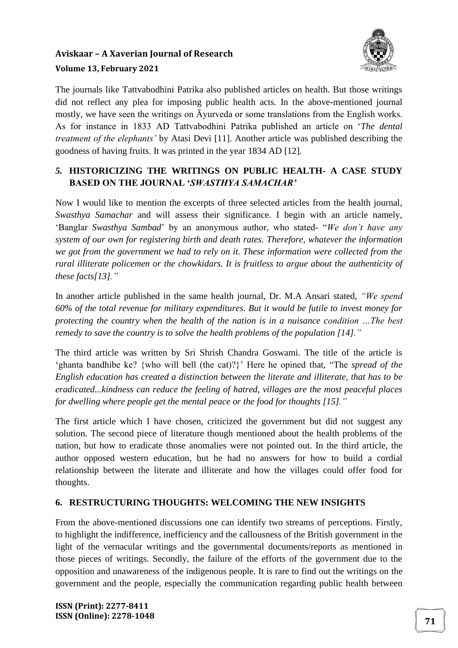

The journals like Tattvabodhini Patrika also published articles on health. But those writings did not reflect any plea for imposing public health acts. In the above-mentioned journal mostly, we have seen the writings on Āyurveda or some translations from the English works. As for instance in 1833 AD Tattvabodhini Patrika published an article on '*The dental treatment of the elephants'* by Atasi Devi [11]. Another article was published describing the goodness of having fruits. It was printed in the year 1834 AD [12].

### *5.* **HISTORICIZING THE WRITINGS ON PUBLIC HEALTH- A CASE STUDY BASED ON THE JOURNAL '***SWASTHYA SAMACHAR'*

Now I would like to mention the excerpts of three selected articles from the health journal, *Swasthya Samachar* and will assess their significance. I begin with an article namely, 'Banglar *Swasthya Sambad*' by an anonymous author, who stated- "*We don't have any system of our own for registering birth and death rates. Therefore, whatever the information we got from the government we had to rely on it. These information were collected from the rural illiterate policemen or the chowkidars. It is fruitless to argue about the authenticity of these facts[13]."*

In another article published in the same health journal, Dr. M.A Ansari stated, *"We spend 60% of the total revenue for military expenditures. But it would be futile to invest money for protecting the country when the health of the nation is in a nuisance condition …The best remedy to save the country is to solve the health problems of the population [14]."*

The third article was written by Sri Shrish Chandra Goswami. The title of the article is 'ghanta bandhibe ke? {who will bell (the cat)?}' Here he opined that, "The *spread of the English education has created a distinction between the literate and illiterate, that has to be eradicated...kindness can reduce the feeling of hatred, villages are the most peaceful places for dwelling where people get the mental peace or the food for thoughts [15]."*

The first article which I have chosen, criticized the government but did not suggest any solution. The second piece of literature though mentioned about the health problems of the nation, but how to eradicate those anomalies were not pointed out. In the third article, the author opposed western education, but he had no answers for how to build a cordial relationship between the literate and illiterate and how the villages could offer food for thoughts.

### **6. RESTRUCTURING THOUGHTS: WELCOMING THE NEW INSIGHTS**

From the above-mentioned discussions one can identify two streams of perceptions. Firstly, to highlight the indifference, inefficiency and the callousness of the British government in the light of the vernacular writings and the governmental documents/reports as mentioned in those pieces of writings. Secondly, the failure of the efforts of the government due to the opposition and unawareness of the indigenous people. It is rare to find out the writings on the government and the people, especially the communication regarding public health between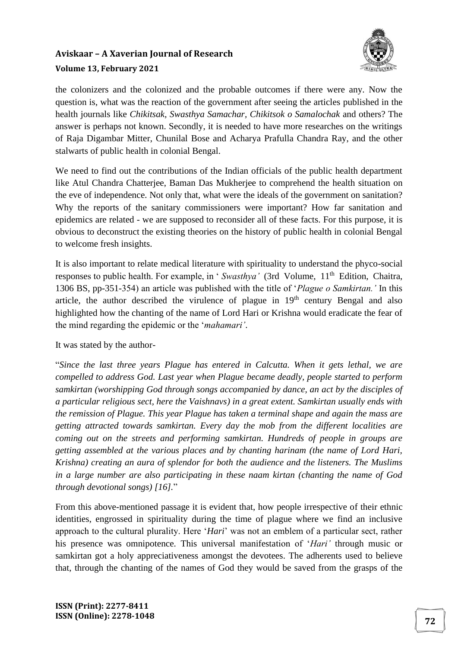

the colonizers and the colonized and the probable outcomes if there were any. Now the question is, what was the reaction of the government after seeing the articles published in the health journals like *Chikitsak, Swasthya Samachar, Chikitsok o Samalochak* and others? The answer is perhaps not known. Secondly, it is needed to have more researches on the writings of Raja Digambar Mitter, Chunilal Bose and Acharya Prafulla Chandra Ray, and the other stalwarts of public health in colonial Bengal.

We need to find out the contributions of the Indian officials of the public health department like Atul Chandra Chatterjee, Baman Das Mukherjee to comprehend the health situation on the eve of independence. Not only that, what were the ideals of the government on sanitation? Why the reports of the sanitary commissioners were important? How far sanitation and epidemics are related - we are supposed to reconsider all of these facts. For this purpose, it is obvious to deconstruct the existing theories on the history of public health in colonial Bengal to welcome fresh insights.

It is also important to relate medical literature with spirituality to understand the phyco-social responses to public health. For example, in 'Swasthya' (3rd Volume, 11<sup>th</sup> Edition, Chaitra, 1306 BS, pp-351-354) an article was published with the title of '*Plague o Samkirtan.'* In this article, the author described the virulence of plague in  $19<sup>th</sup>$  century Bengal and also highlighted how the chanting of the name of Lord Hari or Krishna would eradicate the fear of the mind regarding the epidemic or the '*mahamari'*.

It was stated by the author-

"*Since the last three years Plague has entered in Calcutta. When it gets lethal, we are compelled to address God. Last year when Plague became deadly, people started to perform samkirtan (worshipping God through songs accompanied by dance, an act by the disciples of a particular religious sect, here the Vaishnavs) in a great extent. Samkirtan usually ends with the remission of Plague. This year Plague has taken a terminal shape and again the mass are getting attracted towards samkirtan. Every day the mob from the different localities are coming out on the streets and performing samkirtan. Hundreds of people in groups are getting assembled at the various places and by chanting harinam (the name of Lord Hari, Krishna) creating an aura of splendor for both the audience and the listeners. The Muslims in a large number are also participating in these naam kirtan (chanting the name of God through devotional songs) [16].*"

From this above-mentioned passage it is evident that, how people irrespective of their ethnic identities, engrossed in spirituality during the time of plague where we find an inclusive approach to the cultural plurality. Here '*Hari*' was not an emblem of a particular sect, rather his presence was omnipotence. This universal manifestation of '*Hari'* through music or samkirtan got a holy appreciativeness amongst the devotees. The adherents used to believe that, through the chanting of the names of God they would be saved from the grasps of the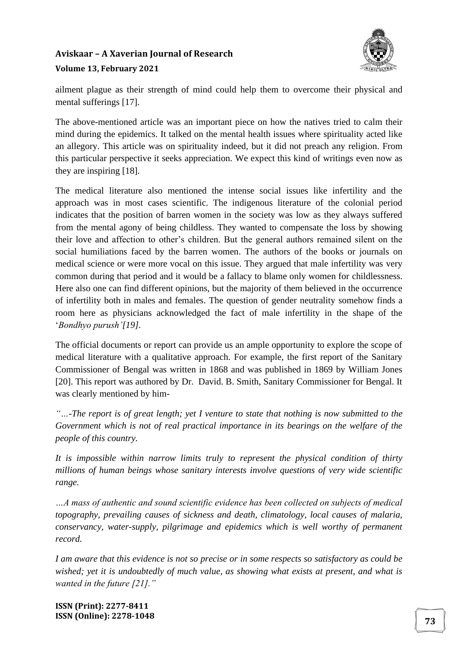

ailment plague as their strength of mind could help them to overcome their physical and mental sufferings [17].

The above-mentioned article was an important piece on how the natives tried to calm their mind during the epidemics. It talked on the mental health issues where spirituality acted like an allegory. This article was on spirituality indeed, but it did not preach any religion. From this particular perspective it seeks appreciation. We expect this kind of writings even now as they are inspiring [18].

The medical literature also mentioned the intense social issues like infertility and the approach was in most cases scientific. The indigenous literature of the colonial period indicates that the position of barren women in the society was low as they always suffered from the mental agony of being childless. They wanted to compensate the loss by showing their love and affection to other's children. But the general authors remained silent on the social humiliations faced by the barren women. The authors of the books or journals on medical science or were more vocal on this issue. They argued that male infertility was very common during that period and it would be a fallacy to blame only women for childlessness. Here also one can find different opinions, but the majority of them believed in the occurrence of infertility both in males and females. The question of gender neutrality somehow finds a room here as physicians acknowledged the fact of male infertility in the shape of the '*Bondhyo purush'[19]*.

The official documents or report can provide us an ample opportunity to explore the scope of medical literature with a qualitative approach. For example, the first report of the Sanitary Commissioner of Bengal was written in 1868 and was published in 1869 by William Jones [20]. This report was authored by Dr. David. B. Smith, Sanitary Commissioner for Bengal. It was clearly mentioned by him-

*"…-The report is of great length; yet I venture to state that nothing is now submitted to the Government which is not of real practical importance in its bearings on the welfare of the people of this country.*

*It is impossible within narrow limits truly to represent the physical condition of thirty millions of human beings whose sanitary interests involve questions of very wide scientific range.* 

*…A mass of authentic and sound scientific evidence has been collected on subjects of medical topography, prevailing causes of sickness and death, climatology, local causes of malaria, conservancy, water-supply, pilgrimage and epidemics which is well worthy of permanent record.*

*I am aware that this evidence is not so precise or in some respects so satisfactory as could be wished; yet it is undoubtedly of much value, as showing what exists at present, and what is wanted in the future [21]."*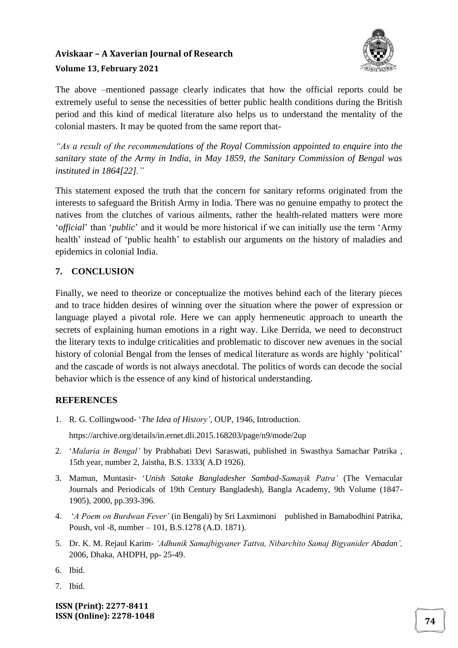

The above –mentioned passage clearly indicates that how the official reports could be extremely useful to sense the necessities of better public health conditions during the British period and this kind of medical literature also helps us to understand the mentality of the colonial masters. It may be quoted from the same report that-

*"As a result of the recommendations of the Royal Commission appointed to enquire into the sanitary state of the Army in India, in May 1859, the Sanitary Commission of Bengal was instituted in 1864[22]."* 

This statement exposed the truth that the concern for sanitary reforms originated from the interests to safeguard the British Army in India. There was no genuine empathy to protect the natives from the clutches of various ailments, rather the health-related matters were more '*official*' than '*public*' and it would be more historical if we can initially use the term 'Army health' instead of 'public health' to establish our arguments on the history of maladies and epidemics in colonial India.

### **7. CONCLUSION**

Finally, we need to theorize or conceptualize the motives behind each of the literary pieces and to trace hidden desires of winning over the situation where the power of expression or language played a pivotal role. Here we can apply hermeneutic approach to unearth the secrets of explaining human emotions in a right way. Like Derrida, we need to deconstruct the literary texts to indulge criticalities and problematic to discover new avenues in the social history of colonial Bengal from the lenses of medical literature as words are highly 'political' and the cascade of words is not always anecdotal. The politics of words can decode the social behavior which is the essence of any kind of historical understanding.

### **REFERENCES**

- 1. R. G. Collingwood- '*The Idea of History'*, OUP, 1946, Introduction. https://archive.org/details/in.ernet.dli.2015.168203/page/n9/mode/2up
- 2. '*Malaria in Bengal'* by Prabhabati Devi Saraswati, published in Swasthya Samachar Patrika , 15th year, number 2, Jaistha, B.S. 1333( A.D 1926).
- 3. Mamun, Muntasir- '*Unish Satake Bangladesher Sambad-Samayik Patra'* (The Vernacular Journals and Periodicals of 19th Century Bangladesh), Bangla Academy, 9th Volume (1847- 1905), 2000, pp.393-396.
- 4. '*A Poem on Burdwan Fever'* (in Bengali) by Sri Laxmimoni published in Bamabodhini Patrika, Poush, vol -8, number – 101, B.S.1278 (A.D. 1871).
- 5. Dr. K. M. Rejaul Karim- *'Adhunik Samajbigyaner Tattva, Nibarchito Samaj Bigyanider Abadan',* 2006, Dhaka, AHDPH, pp- 25-49.
- 6. Ibid.
- 7. Ibid.